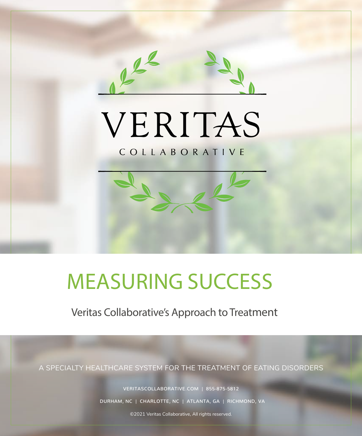

# MEASURING SUCCESS

# Veritas Collaborative's Approach to Treatment

A SPECIALTY HEALTHCARE SYSTEM FOR THE TREATMENT OF EATING DISORDERS

VERITASCOLLABORATIVE.COM | 855-875-5812

DURHAM, NC | CHARLOTTE, NC | ATLANTA, GA | RICHMOND, VA

©2021 Veritas Collaborative, All rights reserved.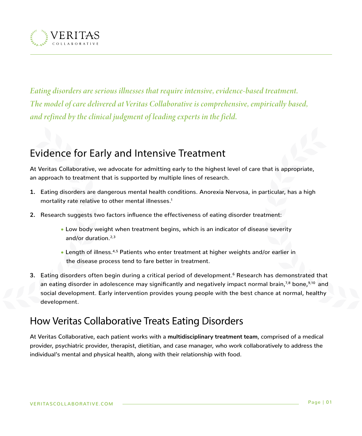

*Eating disorders are serious illnesses that require intensive, evidence-based treatment. The model of care delivered at Veritas Collaborative is comprehensive, empirically based, and refined by the clinical judgment of leading experts in the field.*

# Evidence for Early and Intensive Treatment

At Veritas Collaborative, we advocate for admitting early to the highest level of care that is appropriate, an approach to treatment that is supported by multiple lines of research.

- **1.** Eating disorders are dangerous mental health conditions. Anorexia Nervosa, in particular, has a high mortality rate relative to other mental illnesses.<sup>1</sup>
- **2.** Research suggests two factors influence the effectiveness of eating disorder treatment:
	- **•** Low body weight when treatment begins, which is an indicator of disease severity and/or duration.<sup>2,3</sup>
	- **•** Length of illness.4,5 Patients who enter treatment at higher weights and/or earlier in the disease process tend to fare better in treatment.
- **3.** Eating disorders often begin during a critical period of development.<sup>6</sup> Research has demonstrated that an eating disorder in adolescence may significantly and negatively impact normal brain,<sup>7,8</sup> bone,<sup>9,10</sup> and social development. Early intervention provides young people with the best chance at normal, healthy development.

# How Veritas Collaborative Treats Eating Disorders

At Veritas Collaborative, each patient works with a **multidisciplinary treatment team**, comprised of a medical provider, psychiatric provider, therapist, dietitian, and case manager, who work collaboratively to address the individual's mental and physical health, along with their relationship with food.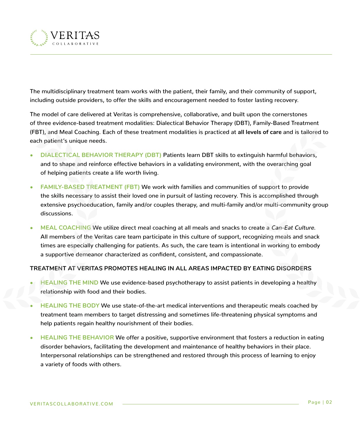

The multidisciplinary treatment team works with the patient, their family, and their community of support, including outside providers, to offer the skills and encouragement needed to foster lasting recovery.

The model of care delivered at Veritas is comprehensive, collaborative, and built upon the cornerstones of three evidence-based treatment modalities: Dialectical Behavior Therapy (DBT), Family-Based Treatment (FBT), and Meal Coaching. Each of these treatment modalities is practiced at **all levels of care** and is tailored to each patient's unique needs.

- **• DIALECTICAL BEHAVIOR THERAPY (DBT)** Patients learn DBT skills to extinguish harmful behaviors, and to shape and reinforce effective behaviors in a validating environment, with the overarching goal of helping patients create a life worth living.
- **• FAMILY-BASED TREATMENT (FBT)** We work with families and communities of support to provide the skills necessary to assist their loved one in pursuit of lasting recovery. This is accomplished through extensive psychoeducation, family and/or couples therapy, and multi-family and/or multi-community group discussions.
- **• MEAL COACHING** We utilize direct meal coaching at all meals and snacks to create a Can-Eat Culture. All members of the Veritas care team participate in this culture of support, recognizing meals and snack times are especially challenging for patients. As such, the care team is intentional in working to embody a supportive demeanor characterized as confident, consistent, and compassionate.

### **TREATMENT AT VERITAS PROMOTES HEALING IN ALL AREAS IMPACTED BY EATING DISORDERS**

- **• HEALING THE MIND** We use evidence-based psychotherapy to assist patients in developing a healthy relationship with food and their bodies.
- **• HEALING THE BODY** We use state-of-the-art medical interventions and therapeutic meals coached by treatment team members to target distressing and sometimes life-threatening physical symptoms and help patients regain healthy nourishment of their bodies.
- **• HEALING THE BEHAVIOR** We offer a positive, supportive environment that fosters a reduction in eating disorder behaviors, facilitating the development and maintenance of healthy behaviors in their place. Interpersonal relationships can be strengthened and restored through this process of learning to enjoy a variety of foods with others.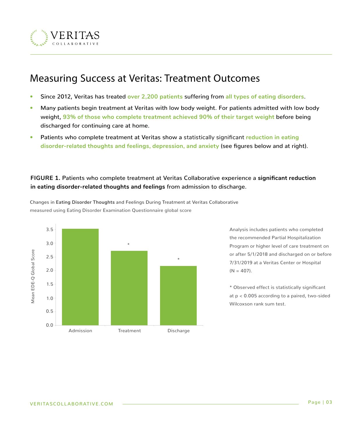

# Measuring Success at Veritas: Treatment Outcomes

- Since 2012, Veritas has treated **over 2,200 patients** suffering from **all types of eating disorders**.
- Many patients begin treatment at Veritas with low body weight. For patients admitted with low body weight, **93% of those who complete treatment achieved 90% of their target weight** before being discharged for continuing care at home.
- Patients who complete treatment at Veritas show a statistically significant **reduction in eating disorder-related thoughts and feelings, depression, and anxiety** (see figures below and at right).

### **FIGURE 1.** Patients who complete treatment at Veritas Collaborative experience a **significant reduction in eating disorder-related thoughts and feelings** from admission to discharge.

Changes in **Eating Disorder Thoughts** and Feelings During Treatment at Veritas Collaborative measured using Eating Disorder Examination Questionnaire global score



Analysis includes patients who completed the recommended Partial Hospitalization Program or higher level of care treatment on or after 5/1/2018 and discharged on or before 7/31/2019 at a Veritas Center or Hospital  $(N = 407)$ .

\* Observed effect is statistically significant at p < 0.005 according to a paired, two-sided Wilcoxson rank sum test.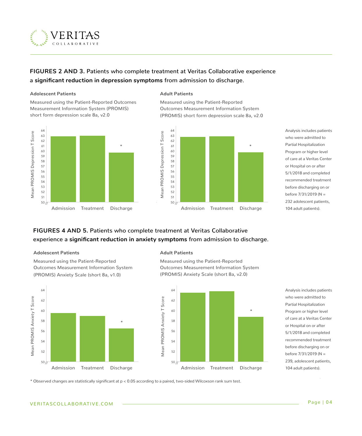

### **FIGURES 2 AND 3.** Patients who complete treatment at Veritas Collaborative experience a **significant reduction in depression symptoms** from admission to discharge.

#### **Adolescent Patients**

Measured using the Patient-Reported Outcomes Measurement Information System (PROMIS) short form depression scale 8a, v2.0



#### **Adult Patients**

Measured using the Patient-Reported Outcomes Measurement Information System (PROMIS) short form depression scale 8a, v2.0



Analysis includes patients who were admitted to Partial Hospitalization Program or higher level of care at a Veritas Center or Hospital on or after 5/1/2018 and completed recommended treatment before discharging on or before 7/31/2019 (N = 232 adolescent patients, 104 adult patients).

### **FIGURES 4 AND 5.** Patients who complete treatment at Veritas Collaborative experience a **significant reduction in anxiety symptoms** from admission to discharge.

#### **Adolescent Patients**

Measured using the Patient-Reported Outcomes Measurement Information System (PROMIS) Anxiety Scale (short 8a, v1.0)



#### **Adult Patients**

Measured using the Patient-Reported Outcomes Measurement Information System (PROMIS) Anxiety Scale (short 8a, v2.0)



Analysis includes patients who were admitted to Partial Hospitalization Program or higher level of care at a Veritas Center or Hospital on or after 5/1/2018 and completed recommended treatment before discharging on or before 7/31/2019 (N = 239, adolescent patients, 104 adult patients).

\* Observed changes are statistically significant at p < 0.05 according to a paired, two-sided Wilcoxson rank sum test.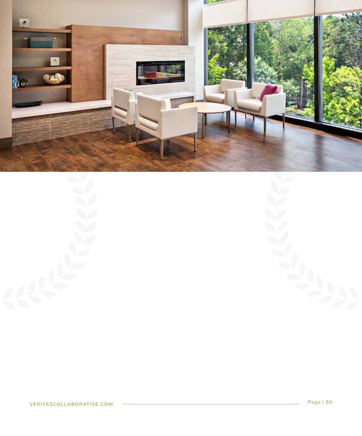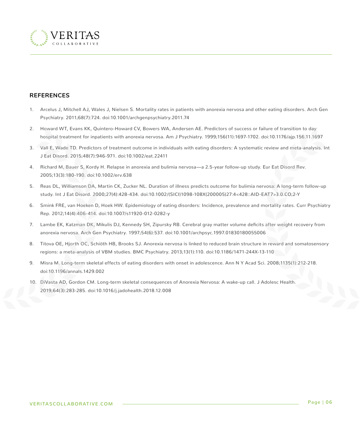

### **REFERENCES**

- 1. Arcelus J, Mitchell AJ, Wales J, Nielsen S. Mortality rates in patients with anorexia nervosa and other eating disorders. Arch Gen Psychiatry. 2011;68(7):724. doi:10.1001/archgenpsychiatry.2011.74
- 2. Howard WT, Evans KK, Quintero-Howard CV, Bowers WA, Andersen AE. Predictors of success or failure of transition to day hospital treatment for inpatients with anorexia nervosa. Am J Psychiatry. 1999;156(11):1697-1702. doi:10.1176/ajp.156.11.1697
- 3. Vall E, Wade TD. Predictors of treatment outcome in individuals with eating disorders: A systematic review and meta-analysis. Int J Eat Disord. 2015;48(7):946-971. doi:10.1002/eat.22411
- 4. Richard M, Bauer S, Kordy H. Relapse in anorexia and bulimia nervosa—a 2.5-year follow-up study. Eur Eat Disord Rev. 2005;13(3):180-190. doi:10.1002/erv.638
- 5. Reas DL, Williamson DA, Martin CK, Zucker NL. Duration of illness predicts outcome for bulimia nervosa: A long-term follow-up study. Int J Eat Disord. 2000;27(4):428-434. doi:10.1002/(SICI)1098-108X(200005)27:4<428::AID-EAT7>3.0.CO;2-Y
- 6. Smink FRE, van Hoeken D, Hoek HW. Epidemiology of eating disorders: Incidence, prevalence and mortality rates. Curr Psychiatry Rep. 2012;14(4):406-414. doi:10.1007/s11920-012-0282-y
- 7. Lambe EK, Katzman DK, Mikulis DJ, Kennedy SH, Zipursky RB. Cerebral gray matter volume deficits after weight recovery from anorexia nervosa. Arch Gen Psychiatry. 1997;54(6):537. doi:10.1001/archpsyc.1997.01830180055006
- 8. Titova OE, Hjorth OC, Schiöth HB, Brooks SJ. Anorexia nervosa is linked to reduced brain structure in reward and somatosensory regions: a meta-analysis of VBM studies. BMC Psychiatry. 2013;13(1):110. doi:10.1186/1471-244X-13-110
- 9. Misra M. Long-term skeletal effects of eating disorders with onset in adolescence. Ann N Y Acad Sci. 2008;1135(1):212-218. doi:10.1196/annals.1429.002
- 10. DiVasta AD, Gordon CM. Long-term skeletal consequences of Anorexia Nervosa: A wake-up call. J Adolesc Health. 2019;64(3):283-285. doi:10.1016/j.jadohealth.2018.12.008